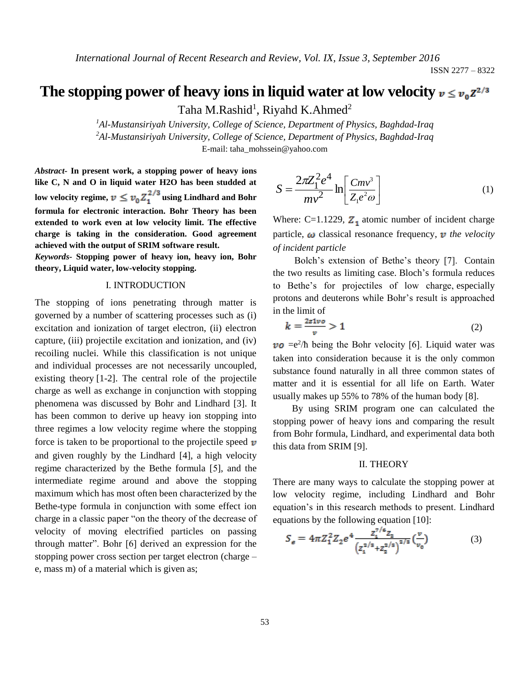# The stopping power of heavy ions in liquid water at low velocity  $v \le v_0 z^{2/3}$

Taha M.Rashid<sup>1</sup>, Riyahd K.Ahmed<sup>2</sup>

*<sup>1</sup>Al-Mustansiriyah University, College of Science, Department of Physics, Baghdad-Iraq <sup>2</sup>Al-Mustansiriyah University, College of Science, Department of Physics, Baghdad-Iraq* E-mail: [taha\\_mohssein@yahoo.com](mailto:taha_mohssein@yahoo.com)

*Abstract-* **In present work, a stopping power of heavy ions like C, N and O in liquid water H2O has been studded at**  low velocity regime,  $v \n\t\leq v_0 Z_1^{2/3}$  using Lindhard and Bohr **formula for electronic interaction. Bohr Theory has been extended to work even at low velocity limit. The effective charge is taking in the consideration. Good agreement achieved with the output of SRIM software result.**

*Keywords-* **Stopping power of heavy ion, heavy ion, Bohr theory, Liquid water, low-velocity stopping.**

# I. INTRODUCTION

The stopping of ions penetrating through matter is governed by a number of scattering processes such as (i) excitation and ionization of target electron, (ii) electron capture, (iii) projectile excitation and ionization, and (iv) recoiling nuclei. While this classification is not unique and individual processes are not necessarily uncoupled, existing theory [1-2]. The central role of the projectile charge as well as exchange in conjunction with stopping phenomena was discussed by Bohr and Lindhard [3]. It has been common to derive up heavy ion stopping into three regimes a low velocity regime where the stopping force is taken to be proportional to the projectile speed  $\nu$ and given roughly by the Lindhard [4], a high velocity regime characterized by the Bethe formula [5], and the intermediate regime around and above the stopping maximum which has most often been characterized by the Bethe-type formula in conjunction with some effect ion charge in a classic paper "on the theory of the decrease of velocity of moving electrified particles on passing through matter". Bohr [6] derived an expression for the stopping power cross section per target electron (charge – e, mass m) of a material which is given as;

$$
S = \frac{2\pi Z_1^2 e^4}{mv^2} \ln \left[ \frac{Cmv^3}{Z_1 e^2 \omega} \right]
$$
 (1)

Where: C=1.1229,  $Z_1$  atomic number of incident charge particle,  $\omega$  classical resonance frequency,  $\nu$  the velocity *of incident particle*

 Bolch's extension of Bethe's theory [7]. Contain the two results as limiting case. Bloch's formula reduces to Bethe's for projectiles of low charge, especially protons and deuterons while Bohr's result is approached in the limit of

$$
k = \frac{2z1vo}{v} > 1\tag{2}
$$

 $=e^2/\hbar$  being the Bohr velocity [6]. Liquid water was taken into consideration because it is the only common substance found naturally in all three common states of matter and it is essential for all life on Earth. Water usually makes up 55% to 78% of the human body [8].

 By using SRIM program one can calculated the stopping power of heavy ions and comparing the result from Bohr formula, Lindhard, and experimental data both this data from SRIM [9].

## II. THEORY

There are many ways to calculate the stopping power at low velocity regime, including Lindhard and Bohr equation's in this research methods to present. Lindhard equations by the following equation [10]:

$$
S_e = 4\pi Z_1^2 Z_2 e^4 \frac{Z_1^{\frac{7}{6}} Z_2}{\left(z_1^{\frac{2}{3}} + z_2^{\frac{2}{3}}\right)^{2/3}} \left(\frac{v}{v_0}\right)
$$
(3)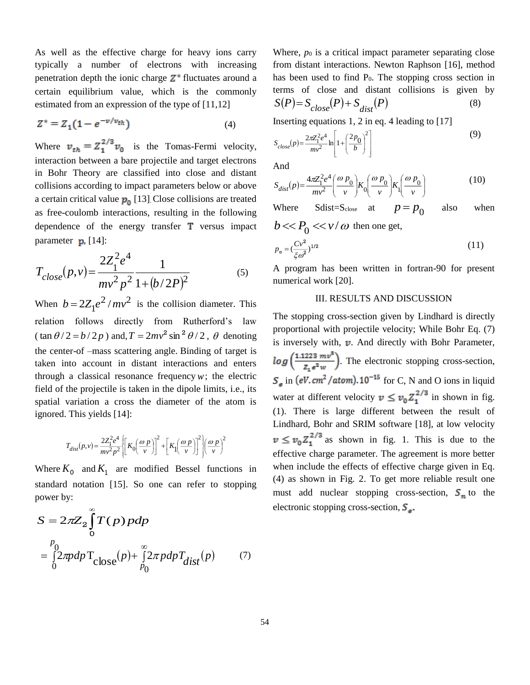As well as the effective charge for heavy ions carry typically a number of electrons with increasing penetration depth the ionic charge  $Z^*$  fluctuates around a certain equilibrium value, which is the commonly estimated from an expression of the type of [11,12]

$$
Z^* = Z_1 (1 - e^{-v/v_{th}})
$$
 (4)

Where  $v_{th} = Z_1^{2/3} v_0$  is the Tomas-Fermi velocity, interaction between a bare projectile and target electrons in Bohr Theory are classified into close and distant collisions according to impact parameters below or above a certain critical value  $p_0$  [13]. Close collisions are treated as free-coulomb interactions, resulting in the following dependence of the energy transfer  $\mathbf T$  versus impact parameter  $\mathbf{p}$ , [14]:

$$
T_{close}(p,v) = \frac{2Z_1^2 e^4}{mv^2 p^2} \frac{1}{1 + (b/2P)^2}
$$
 (5)

When  $b = 2Z_1 e^2 / mv^2$  $b = 2Z_1 e^2 / mv^2$  is the collision diameter. This relation follows directly from Rutherford's law  $\tan \theta / 2 = b / 2p$ ) and,  $T = 2mv^2 \sin^2 \theta / 2$ ,  $\theta$  denoting the center-of –mass scattering angle. Binding of target is taken into account in distant interactions and enters through a classical resonance frequency  $w$ ; the electric field of the projectile is taken in the dipole limits, i.e., its spatial variation a cross the diameter of the atom is ignored. This yields [14]:

$$
T_{dist}(p, v) = \frac{2Z_1^2 e^4}{mv^2 p^2} \left[ K_0 \left( \frac{\omega p}{v} \right) \right]^2 + \left[ K_1 \left( \frac{\omega p}{v} \right) \right]^2 \left| \left( \frac{\omega p}{v} \right)^2 \right|
$$

Where  $K_0$  and  $K_1$  are modified Bessel functions in standard notation [15]. So one can refer to stopping power by:

$$
S = 2\pi Z_2 \int_0^{\infty} T(p) \, pdp
$$
  
=  $\int_0^{p_0} 2\pi p dp \, \text{T}_{\text{close}}(p) + \int_{p_0}^{\infty} 2\pi p dp \, \text{T}_{\text{dist}}(p)$  (7)

Where,  $p_0$  is a critical impact parameter separating close from distant interactions. Newton Raphson [16], method has been used to find  $P_0$ . The stopping cross section in terms of close and distant collisions is given by  $S(P) = S_{close}(P) + S_{dist}(P)$  (8)

Inserting equations 1, 2 in eq. 4 leading to [17]

$$
S_{close}(p) = \frac{2\pi Z_1^2 e^4}{mv^2} \ln \left[ 1 + \left(\frac{2p_0}{b}\right)^2 \right]
$$
 (9)

And

$$
S_{dist}(p) = \frac{4\pi Z_1^2 e^4}{mv^2} \left(\frac{\omega p_0}{v}\right) K_0 \left(\frac{\omega p_0}{v}\right) K_1 \left(\frac{\omega p_0}{v}\right)
$$
(10)

Where Sdist=S<sub>close</sub> at  $p = p_0$ also when

 $b \ll P_0 \ll v/\omega$  then one get,

$$
p_{\mathbf{o}} = \left(\frac{Cv^2}{\xi \omega^2}\right)^{1/2} \tag{11}
$$

A program has been written in fortran-90 for present numerical work [20].

# III. RESULTS AND DISCUSSION

The stopping cross-section given by Lindhard is directly proportional with projectile velocity; While Bohr Eq. (7) is inversely with,  $\nu$ . And directly with Bohr Parameter,  $log\left(\frac{1.1223 \ m v^8}{Z_e e^2 w}\right)$ . The electronic stopping cross-section,  $S_e$  in (eV. cm<sup>2</sup>/atom).10<sup>-15</sup> for C, N and O ions in liquid water at different velocity  $v \le v_0 Z_1^{2/3}$  in shown in fig. (1). There is large different between the result of Lindhard, Bohr and SRIM software [18], at low velocity  $v \leq v_0 Z_1^{2/3}$  as shown in fig. 1. This is due to the effective charge parameter. The agreement is more better when include the effects of effective charge given in Eq. (4) as shown in Fig. 2. To get more reliable result one must add nuclear stopping cross-section,  $S_n$  to the electronic stopping cross-section,  $S_{\rm g}$ .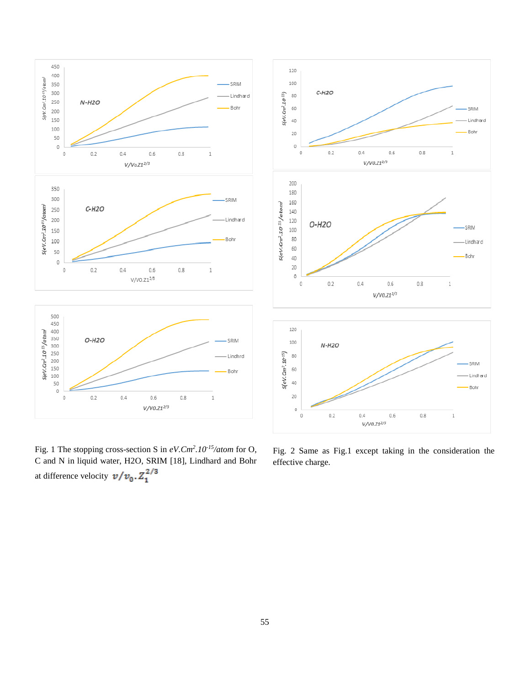

Fig. 1 The stopping cross-section S in *eV.Cm<sup>2</sup> .10-15/atom* for O, C and N in liquid water, H2O, SRIM [18], Lindhard and Bohr at difference velocity  $v/v_0 \cdot Z_1^{2/3}$ 



Fig. 2 Same as Fig.1 except taking in the consideration the effective charge.